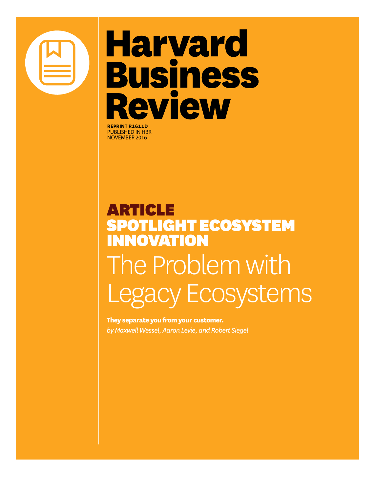# **Harvard Business Review**

**REPRINT R1611D** published in HBR November 2016

## article OTLIGHT ECOSYSTEM NNOVATION The Problem with Legacy Ecosystems

**They separate you from your customer.** *by Maxwell Wessel, Aaron Levie, and Robert Siegel*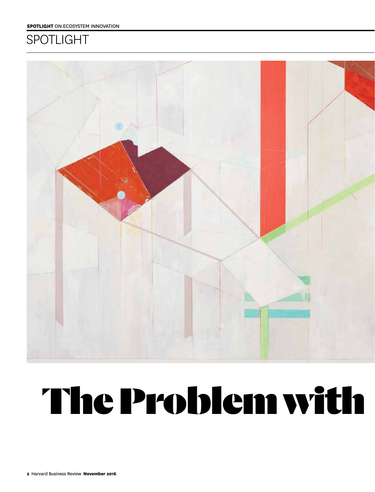### **SPOTLIGHT**



# The Problem with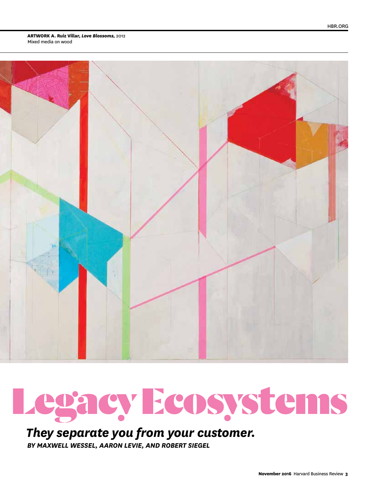**Artwork A. Ruiz Villar,** *Love Blossoms,* 2012 Mixed media on wood





### *They separate you from your customer.*

*By Maxwell Wessel, Aaron Levie, and Robert Siegel*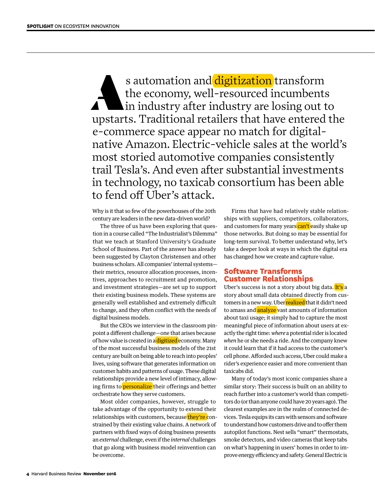s automation and digitization transform<br>the economy, well-resourced incumbents<br>in industry after industry are losing out t the economy, well-resourced incumbents in industry after industry are losing out to upstarts. Traditional retailers that have entered the e-commerce space appear no match for digitalnative Amazon. Electric-vehicle sales at the world's most storied automotive companies consistently trail Tesla's. And even after substantial investments in technology, no taxicab consortium has been able to fend off Uber's attack.

Why is it that so few of the powerhouses of the 20th century are leaders in the new data-driven world?

The three of us have been exploring that question in a course called "The Industrialist's Dilemma" that we teach at Stanford University's Graduate School of Business. Part of the answer has already been suggested by Clayton Christensen and other business scholars. All companies' internal systems their metrics, resource allocation processes, incentives, approaches to recruitment and promotion, and investment strategies—are set up to support their existing business models. These systems are generally well established and extremely difficult to change, and they often conflict with the needs of digital business models.

But the CEOs we interview in the classroom pinpoint a different challenge—one that arises because of how value is created in a digitized economy. Many of the most successful business models of the 21st century are built on being able to reach into peoples' lives, using software that generates information on customer habits and patterns of usage. These digital relationships provide a new level of intimacy, allowing firms to *personalize* their offerings and better orchestrate how they serve customers.

Most older companies, however, struggle to take advantage of the opportunity to extend their relationships with customers, because they're constrained by their existing value chains. A network of partners with fixed ways of doing business presents an *external* challenge, even if the *internal* challenges that go along with business model reinvention can be overcome.

Firms that have had relatively stable relationships with suppliers, competitors, collaborators, and customers for many years can't easily shake up those networks. But doing so may be essential for long-term survival. To better understand why, let's take a deeper look at ways in which the digital era has changed how we create and capture value.

#### **Software Transforms Customer Relationships**

Uber's success is not a story about big data. It's a story about small data obtained directly from customers in a new way. Uber realized that it didn't need to amass and analyze vast amounts of information about taxi usage; it simply had to capture the most meaningful piece of information about users at exactly the right time: *where* a potential rider is located *when* he or she needs a ride. And the company knew it could learn that if it had access to the customer's cell phone. Afforded such access, Uber could make a rider's experience easier and more convenient than taxicabs did.

Many of today's most iconic companies share a similar story: Their success is built on an ability to reach further into a customer's world than competitors do (or than anyone could have 20 years ago). The clearest examples are in the realm of connected devices. Tesla equips its cars with sensors and software to understand how customers drive and to offer them autopilot functions. Nest sells "smart" thermostats, smoke detectors, and video cameras that keep tabs on what's happening in users' homes in order to improve energy efficiency and safety. General Electric is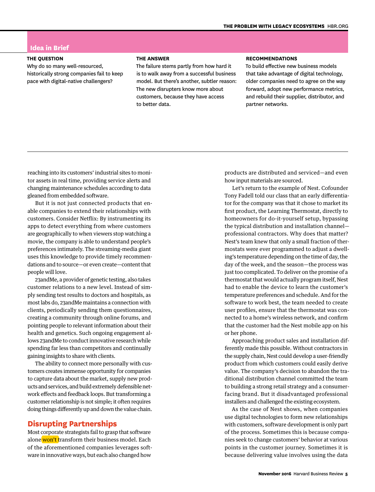#### **Idea in Brief**

#### **The Question**

Why do so many well-resourced, historically strong companies fail to keep pace with digital-native challengers?

#### **The Answer**

The failure stems partly from how hard it is to walk away from a successful business model. But there's another, subtler reason: The new disrupters know more about customers, because they have access to better data.

#### **Recommendations**

To build effective new business models that take advantage of digital technology, older companies need to agree on the way forward, adopt new performance metrics, and rebuild their supplier, distributor, and partner networks.

reaching into its customers' industrial sites to monitor assets in real time, providing service alerts and changing maintenance schedules according to data gleaned from embedded software.

But it is not just connected products that enable companies to extend their relationships with customers. Consider Netflix: By instrumenting its apps to detect everything from where customers are geographically to when viewers stop watching a movie, the company is able to understand people's preferences intimately. The streaming-media giant uses this knowledge to provide timely recommendations and to source—or even create—content that people will love.

23andMe, a provider of genetic testing, also takes customer relations to a new level. Instead of simply sending test results to doctors and hospitals, as most labs do, 23andMe maintains a connection with clients, periodically sending them questionnaires, creating a community through online forums, and pointing people to relevant information about their health and genetics. Such ongoing engagement allows 23andMe to conduct innovative research while spending far less than competitors and continually gaining insights to share with clients.

The ability to connect more personally with customers creates immense opportunity for companies to capture data about the market, supply new products and services, and build extremely defensible network effects and feedback loops. But transforming a customer relationship is not simple; it often requires doing things differently up and down the value chain.

#### **Disrupting Partnerships**

Most corporate strategists fail to grasp that software alone won't transform their business model. Each of the aforementioned companies leverages software in innovative ways, but each also changed how

products are distributed and serviced—and even how input materials are sourced.

Let's return to the example of Nest. Cofounder Tony Fadell told our class that an early differentiator for the company was that it chose to market its first product, the Learning Thermostat, directly to homeowners for do-it-yourself setup, bypassing the typical distribution and installation channel professional contractors. Why does that matter? Nest's team knew that only a small fraction of thermostats were ever programmed to adjust a dwelling's temperature depending on the time of day, the day of the week, and the season—the process was just too complicated. To deliver on the promise of a thermostat that would actually program itself, Nest had to enable the device to learn the customer's temperature preferences and schedule. And for the software to work best, the team needed to create user profiles, ensure that the thermostat was connected to a home's wireless network, and confirm that the customer had the Nest mobile app on his or her phone.

Approaching product sales and installation differently made this possible. Without contractors in the supply chain, Nest could develop a user-friendly product from which customers could easily derive value. The company's decision to abandon the traditional distribution channel committed the team to building a strong retail strategy and a consumerfacing brand. But it disadvantaged professional installers and challenged the existing ecosystem.

As the case of Nest shows, when companies use digital technologies to form new relationships with customers, software development is only part of the process. Sometimes this is because companies seek to change customers' behavior at various points in the customer journey. Sometimes it is because delivering value involves using the data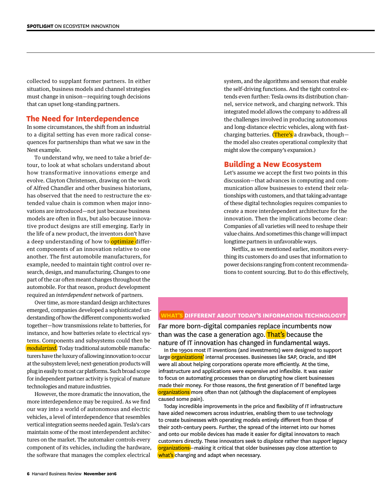collected to supplant former partners. In either situation, business models and channel strategies must change in unison—requiring tough decisions that can upset long-standing partners.

#### **The Need for Interdependence**

In some circumstances, the shift from an industrial to a digital setting has even more radical consequences for partnerships than what we saw in the Nest example.

To understand why, we need to take a brief detour, to look at what scholars understand about how transformative innovations emerge and evolve. Clayton Christensen, drawing on the work of Alfred Chandler and other business historians, has observed that the need to restructure the extended value chain is common when major innovations are introduced—not just because business models are often in flux, but also because innovative product designs are still emerging. Early in the life of a new product, the inventors don't have a deep understanding of how to optimize different components of an innovation relative to one another. The first automobile manufacturers, for example, needed to maintain tight control over research, design, and manufacturing. Changes to one part of the car often meant changes throughout the automobile. For that reason, product development required an *interdependent* network of partners.

Over time, as more standard design architectures emerged, companies developed a sophisticated understanding of how the different components worked together—how transmissions relate to batteries, for instance, and how batteries relate to electrical systems. Components and subsystems could then be *modularized.* Today traditional automobile manufacturers have the luxury of allowing innovation to occur at the subsystem level; next-generation products will plug in easily to most car platforms. Such broad scope for independent partner activity is typical of mature technologies and mature industries.

However, the more dramatic the innovation, the more interdependence may be required. As we find our way into a world of autonomous and electric vehicles, a level of interdependence that resembles vertical integration seems needed again. Tesla's cars maintain some of the most interdependent architectures on the market. The automaker controls every component of its vehicles, including the hardware, the software that manages the complex electrical

system, and the algorithms and sensors that enable the self-driving functions. And the tight control extends even further: Tesla owns its distribution channel, service network, and charging network. This integrated model allows the company to address all the challenges involved in producing autonomous and long-distance electric vehicles, along with fastcharging batteries. (There's a drawback, thoughthe model also creates operational complexity that might slow the company's expansion.)

#### **Building a New Ecosystem**

Let's assume we accept the first two points in this discussion—that advances in computing and communication allow businesses to extend their relationships with customers, and that taking advantage of these digital technologies requires companies to create a more interdependent architecture for the innovation. Then the implications become clear: Companies of all varieties will need to reshape their value chains. And sometimes this change will impact longtime partners in unfavorable ways.

Netflix, as we mentioned earlier, monitors everything its customers do and uses that information to power decisions ranging from content recommendations to content sourcing. But to do this effectively,

#### **What's Different About Today's Information Technology?**

Far more born-digital companies replace incumbents now than was the case a generation ago. That's because the nature of IT innovation has changed in fundamental ways.

In the 1990s most IT inventions (and investments) were designed to support large <mark>organizations'</mark> internal processes. Businesses like SAP, Oracle, and IBM were all about helping corporations operate more efficiently. At the time, infrastructure and applications were expensive and inflexible. It was easier to focus on automating processes than on disrupting how client businesses made their money. For those reasons, the first generation of IT benefited large organizations more often than not (although the displacement of employees caused some pain).

Today incredible improvements in the price and flexibility of IT infrastructure have aided newcomers across industries, enabling them to use technology to create businesses with operating models entirely different from those of their 20th-century peers. Further, the spread of the internet into our homes and onto our mobile devices has made it easier for digital innovators to reach customers directly. These innovators seek to *displace* rather than *support* legacy organizations-making it critical that older businesses pay close attention to what's changing and adapt when necessary.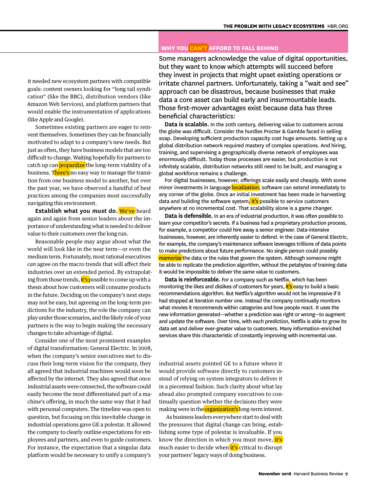#### **Why You Can't Afford to Fall Behind**

it needed new ecosystem partners with compatible goals: content owners looking for "long tail syndication" (like the BBC), distribution vendors (like Amazon Web Services), and platform partners that would enable the instrumentation of applications (like Apple and Google).

Sometimes existing partners are eager to reinvent themselves. Sometimes they can be financially motivated to adapt to a company's new needs. But just as often, they have business models that are too difficult to change. Waiting hopefully for partners to catch up can jeopardize the long-term viability of a business. There's no easy way to manage the transition from one business model to another, but over the past year, we have observed a handful of best practices among the companies most successfully navigating this environment.

**Establish what you** *must* **do.** We've heard again and again from senior leaders about the importance of understanding what is needed to deliver value to their customers over the long run.

Reasonable people may argue about what the world will look like in the near term—or even the medium term. Fortunately, most rational executives *can* agree on the macro trends that will affect their industries over an extended period. By extrapolating from those trends, it's possible to come up with a thesis about how customers will consume products in the future. Deciding on the company's next steps may not be easy, but agreeing on the long-term predictions for the industry, the role the company can play under those scenarios, and the likely role of your partners is the way to begin making the necessary changes to take advantage of digital.

Consider one of the most prominent examples of digital transformation: General Electric. In 2008, when the company's senior executives met to discuss their long-term vision for the company, they all agreed that industrial machines would soon be affected by the internet. They also agreed that once industrial assets were connected, the software could easily become the most differentiated part of a machine's offering, in much the same way that it had with personal computers. The timeline was open to question, but focusing on this inevitable change in industrial operations gave GE a polestar. It allowed the company to clearly outline expectations for employees and partners, and even to guide customers. For instance, the expectation that a singular data platform would be necessary to unify a company's

Some managers acknowledge the value of digital opportunities, but they want to know which attempts will succeed before they invest in projects that might upset existing operations or irritate channel partners. Unfortunately, taking a "wait and see" approach can be disastrous, because businesses that make data a core asset can build early and insurmountable leads. Those first-mover advantages exist because data has three beneficial characteristics:

**Data is scalable.** In the 20th century, delivering value to customers across the globe was difficult. Consider the hurdles Procter & Gamble faced in selling soap. Developing sufficient production capacity cost huge amounts. Setting up a global distribution network required mastery of complex operations. And hiring, training, and supervising a geographically diverse network of employees was enormously difficult. Today those processes are easier, but production is not infinitely scalable, distribution networks still need to be built, and managing a global workforce remains a challenge.

For digital businesses, however, offerings scale easily and cheaply. With some minor investments in language localization, software can extend immediately to any corner of the globe. Once an initial investment has been made in harvesting data and building the software system, it's possible to service customers anywhere at no incremental cost. That scalability alone is a game changer.

**Data is defensible.** In an era of industrial production, it was often possible to learn your competitor's secrets. If a business had a proprietary production process, for example, a competitor could hire away a senior engineer. Data-intensive businesses, however, are inherently easier to defend. In the case of General Electric, for example, the company's maintenance software leverages trillions of data points to make predictions about future performance. No single person could possibly memorize the data or the rules that govern the system. Although someone might be able to replicate the prediction algorithm, without the petabytes of training data it would be impossible to deliver the same value to customers.

**Data is reinforceable.** For a company such as Netflix, which has been monitoring the likes and dislikes of customers for years, it's easy to build a basic recommendations algorithm. But Netflix's algorithm would not be impressive if it had stopped at iteration number one. Instead the company continually monitors what movies it recommends within categories and how people react. It uses the new information generated—whether a prediction was right or wrong—to augment and update the software. Over time, with each prediction, Netflix is able to grow its data set and deliver ever-greater value to customers. Many information-enriched services share this characteristic of constantly improving with incremental use.

industrial assets pointed GE to a future where it would provide software directly to customers instead of relying on system integrators to deliver it in a piecemeal fashion. Such clarity about what lay ahead also prompted company executives to continually question whether the decisions they were making were in the organization's long-term interest.

As business leaders everywhere start to deal with the pressures that digital change can bring, establishing some type of polestar is invaluable. If you know the direction in which you must move, it's much easier to decide when it's critical to disrupt your partners' legacy ways of doing business.